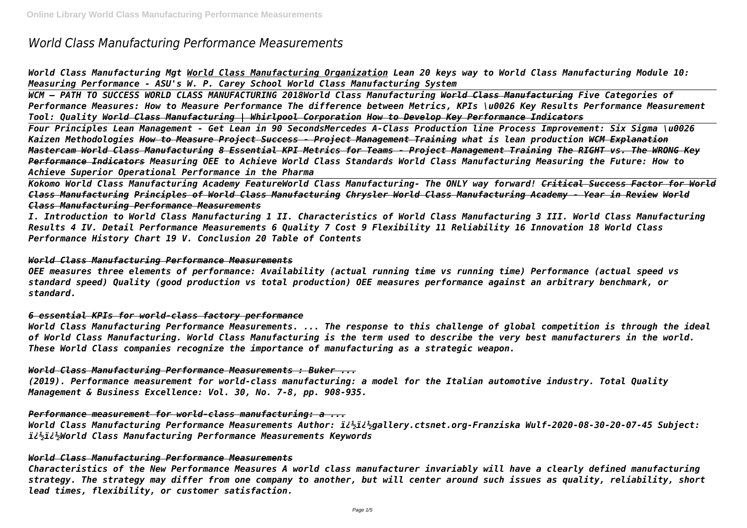# *World Class Manufacturing Performance Measurements*

*World Class Manufacturing Mgt World Class Manufacturing Organization Lean 20 keys way to World Class Manufacturing Module 10: Measuring Performance - ASU's W. P. Carey School World Class Manufacturing System*

*WCM – PATH TO SUCCESS WORLD CLASS MANUFACTURING 2018World Class Manufacturing World Class Manufacturing Five Categories of Performance Measures: How to Measure Performance The difference between Metrics, KPIs \u0026 Key Results Performance Measurement Tool: Quality World Class Manufacturing | Whirlpool Corporation How to Develop Key Performance Indicators Four Principles Lean Management - Get Lean in 90 SecondsMercedes A-Class Production line Process Improvement: Six Sigma \u0026 Kaizen Methodologies How to Measure Project Success - Project Management Training what is lean production WCM Explanation Mastercam World Class Manufacturing 8 Essential KPI Metrics for Teams - Project Management Training The RIGHT vs. The WRONG Key Performance Indicators Measuring OEE to Achieve World Class Standards World Class Manufacturing Measuring the Future: How to Achieve Superior Operational Performance in the Pharma* 

*Kokomo World Class Manufacturing Academy FeatureWorld Class Manufacturing- The ONLY way forward! Critical Success Factor for World Class Manufacturing Principles of World Class Manufacturing Chrysler World Class Manufacturing Academy - Year in Review World Class Manufacturing Performance Measurements*

*I. Introduction to World Class Manufacturing 1 II. Characteristics of World Class Manufacturing 3 III. World Class Manufacturing Results 4 IV. Detail Performance Measurements 6 Quality 7 Cost 9 Flexibility 11 Reliability 16 Innovation 18 World Class Performance History Chart 19 V. Conclusion 20 Table of Contents*

# *World Class Manufacturing Performance Measurements*

*OEE measures three elements of performance: Availability (actual running time vs running time) Performance (actual speed vs standard speed) Quality (good production vs total production) OEE measures performance against an arbitrary benchmark, or standard.*

# *6 essential KPIs for world-class factory performance*

*World Class Manufacturing Performance Measurements. ... The response to this challenge of global competition is through the ideal of World Class Manufacturing. World Class Manufacturing is the term used to describe the very best manufacturers in the world. These World Class companies recognize the importance of manufacturing as a strategic weapon.*

# *World Class Manufacturing Performance Measurements : Buker ...*

*(2019). Performance measurement for world-class manufacturing: a model for the Italian automotive industry. Total Quality Management & Business Excellence: Vol. 30, No. 7-8, pp. 908-935.*

# *Performance measurement for world-class manufacturing: a ...*

*World Class Manufacturing Performance Measurements Author: ��gallery.ctsnet.org-Franziska Wulf-2020-08-30-20-07-45 Subject: ��World Class Manufacturing Performance Measurements Keywords*

#### *World Class Manufacturing Performance Measurements*

*Characteristics of the New Performance Measures A world class manufacturer invariably will have a clearly defined manufacturing strategy. The strategy may differ from one company to another, but will center around such issues as quality, reliability, short lead times, flexibility, or customer satisfaction.*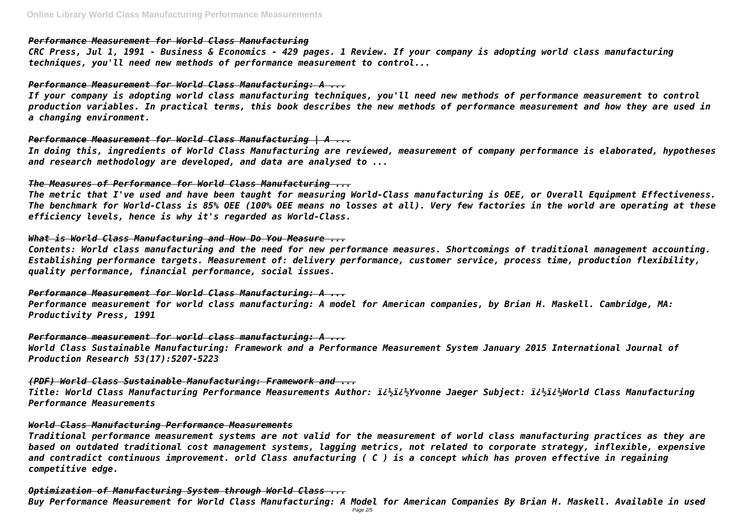# *Performance Measurement for World Class Manufacturing*

*CRC Press, Jul 1, 1991 - Business & Economics - 429 pages. 1 Review. If your company is adopting world class manufacturing techniques, you'll need new methods of performance measurement to control...*

# *Performance Measurement for World Class Manufacturing: A ...*

*If your company is adopting world class manufacturing techniques, you'll need new methods of performance measurement to control production variables. In practical terms, this book describes the new methods of performance measurement and how they are used in a changing environment.*

# *Performance Measurement for World Class Manufacturing | A ...*

*In doing this, ingredients of World Class Manufacturing are reviewed, measurement of company performance is elaborated, hypotheses and research methodology are developed, and data are analysed to ...*

# *The Measures of Performance for World Class Manufacturing ...*

*The metric that I've used and have been taught for measuring World-Class manufacturing is OEE, or Overall Equipment Effectiveness. The benchmark for World-Class is 85% OEE (100% OEE means no losses at all). Very few factories in the world are operating at these efficiency levels, hence is why it's regarded as World-Class.*

# *What is World Class Manufacturing and How Do You Measure ...*

*Contents: World class manufacturing and the need for new performance measures. Shortcomings of traditional management accounting. Establishing performance targets. Measurement of: delivery performance, customer service, process time, production flexibility, quality performance, financial performance, social issues.*

*Performance Measurement for World Class Manufacturing: A ...*

*Performance measurement for world class manufacturing: A model for American companies, by Brian H. Maskell. Cambridge, MA: Productivity Press, 1991*

# *Performance measurement for world class manufacturing: A ...*

*World Class Sustainable Manufacturing: Framework and a Performance Measurement System January 2015 International Journal of Production Research 53(17):5207-5223*

# *(PDF) World Class Sustainable Manufacturing: Framework and ...*

*Title: World Class Manufacturing Performance Measurements Author: ��Yvonne Jaeger Subject: ��World Class Manufacturing Performance Measurements*

# *World Class Manufacturing Performance Measurements*

*Traditional performance measurement systems are not valid for the measurement of world class manufacturing practices as they are based on outdated traditional cost management systems, lagging metrics, not related to corporate strategy, inflexible, expensive and contradict continuous improvement. orld Class anufacturing ( C ) is a concept which has proven effective in regaining competitive edge.*

# *Optimization of Manufacturing System through World Class ...*

*Buy Performance Measurement for World Class Manufacturing: A Model for American Companies By Brian H. Maskell. Available in used*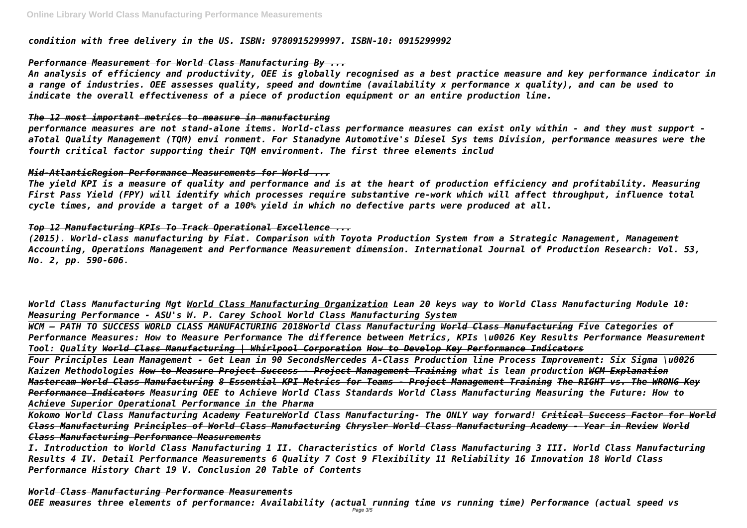*condition with free delivery in the US. ISBN: 9780915299997. ISBN-10: 0915299992*

# *Performance Measurement for World Class Manufacturing By ...*

*An analysis of efficiency and productivity, OEE is globally recognised as a best practice measure and key performance indicator in a range of industries. OEE assesses quality, speed and downtime (availability x performance x quality), and can be used to indicate the overall effectiveness of a piece of production equipment or an entire production line.*

# *The 12 most important metrics to measure in manufacturing*

*performance measures are not stand-alone items. World-class performance measures can exist only within - and they must support aTotal Quality Management (TQM) envi ronment. For Stanadyne Automotive's Diesel Sys tems Division, performance measures were the fourth critical factor supporting their TQM environment. The first three elements includ*

# *Mid-AtlanticRegion Performance Measurements for World ...*

*The yield KPI is a measure of quality and performance and is at the heart of production efficiency and profitability. Measuring First Pass Yield (FPY) will identify which processes require substantive re-work which will affect throughput, influence total cycle times, and provide a target of a 100% yield in which no defective parts were produced at all.*

# *Top 12 Manufacturing KPIs To Track Operational Excellence ...*

*(2015). World-class manufacturing by Fiat. Comparison with Toyota Production System from a Strategic Management, Management Accounting, Operations Management and Performance Measurement dimension. International Journal of Production Research: Vol. 53, No. 2, pp. 590-606.*

*World Class Manufacturing Mgt World Class Manufacturing Organization Lean 20 keys way to World Class Manufacturing Module 10: Measuring Performance - ASU's W. P. Carey School World Class Manufacturing System*

*WCM – PATH TO SUCCESS WORLD CLASS MANUFACTURING 2018World Class Manufacturing World Class Manufacturing Five Categories of Performance Measures: How to Measure Performance The difference between Metrics, KPIs \u0026 Key Results Performance Measurement Tool: Quality World Class Manufacturing | Whirlpool Corporation How to Develop Key Performance Indicators Four Principles Lean Management - Get Lean in 90 SecondsMercedes A-Class Production line Process Improvement: Six Sigma \u0026 Kaizen Methodologies How to Measure Project Success - Project Management Training what is lean production WCM Explanation Mastercam World Class Manufacturing 8 Essential KPI Metrics for Teams - Project Management Training The RIGHT vs. The WRONG Key Performance Indicators Measuring OEE to Achieve World Class Standards World Class Manufacturing Measuring the Future: How to Achieve Superior Operational Performance in the Pharma* 

*Kokomo World Class Manufacturing Academy FeatureWorld Class Manufacturing- The ONLY way forward! Critical Success Factor for World Class Manufacturing Principles of World Class Manufacturing Chrysler World Class Manufacturing Academy - Year in Review World Class Manufacturing Performance Measurements*

*I. Introduction to World Class Manufacturing 1 II. Characteristics of World Class Manufacturing 3 III. World Class Manufacturing Results 4 IV. Detail Performance Measurements 6 Quality 7 Cost 9 Flexibility 11 Reliability 16 Innovation 18 World Class Performance History Chart 19 V. Conclusion 20 Table of Contents*

*World Class Manufacturing Performance Measurements OEE measures three elements of performance: Availability (actual running time vs running time) Performance (actual speed vs* Page 3/5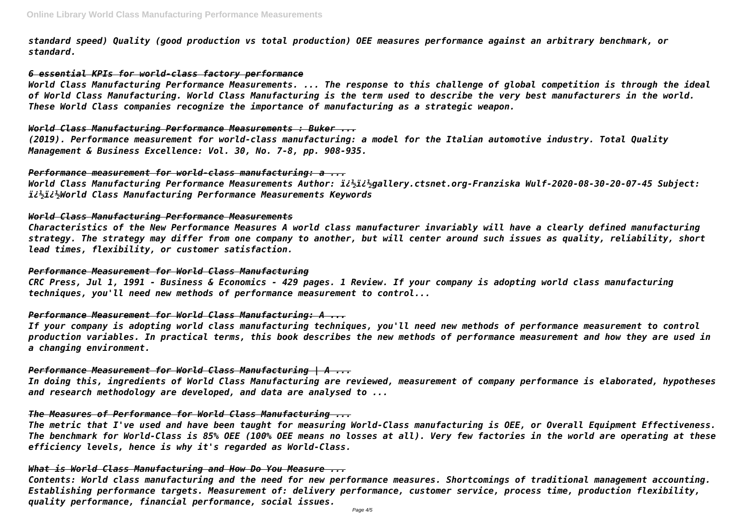*standard speed) Quality (good production vs total production) OEE measures performance against an arbitrary benchmark, or standard.*

#### *6 essential KPIs for world-class factory performance*

*World Class Manufacturing Performance Measurements. ... The response to this challenge of global competition is through the ideal of World Class Manufacturing. World Class Manufacturing is the term used to describe the very best manufacturers in the world. These World Class companies recognize the importance of manufacturing as a strategic weapon.*

#### *World Class Manufacturing Performance Measurements : Buker ...*

*(2019). Performance measurement for world-class manufacturing: a model for the Italian automotive industry. Total Quality Management & Business Excellence: Vol. 30, No. 7-8, pp. 908-935.*

# *Performance measurement for world-class manufacturing: a ...*

*World Class Manufacturing Performance Measurements Author: ��gallery.ctsnet.org-Franziska Wulf-2020-08-30-20-07-45 Subject: ��World Class Manufacturing Performance Measurements Keywords*

#### *World Class Manufacturing Performance Measurements*

*Characteristics of the New Performance Measures A world class manufacturer invariably will have a clearly defined manufacturing strategy. The strategy may differ from one company to another, but will center around such issues as quality, reliability, short lead times, flexibility, or customer satisfaction.*

#### *Performance Measurement for World Class Manufacturing*

*CRC Press, Jul 1, 1991 - Business & Economics - 429 pages. 1 Review. If your company is adopting world class manufacturing techniques, you'll need new methods of performance measurement to control...*

# *Performance Measurement for World Class Manufacturing: A ...*

*If your company is adopting world class manufacturing techniques, you'll need new methods of performance measurement to control production variables. In practical terms, this book describes the new methods of performance measurement and how they are used in a changing environment.*

# *Performance Measurement for World Class Manufacturing | A ...*

*In doing this, ingredients of World Class Manufacturing are reviewed, measurement of company performance is elaborated, hypotheses and research methodology are developed, and data are analysed to ...*

# *The Measures of Performance for World Class Manufacturing ...*

*The metric that I've used and have been taught for measuring World-Class manufacturing is OEE, or Overall Equipment Effectiveness. The benchmark for World-Class is 85% OEE (100% OEE means no losses at all). Very few factories in the world are operating at these efficiency levels, hence is why it's regarded as World-Class.*

#### *What is World Class Manufacturing and How Do You Measure ...*

*Contents: World class manufacturing and the need for new performance measures. Shortcomings of traditional management accounting. Establishing performance targets. Measurement of: delivery performance, customer service, process time, production flexibility, quality performance, financial performance, social issues.*